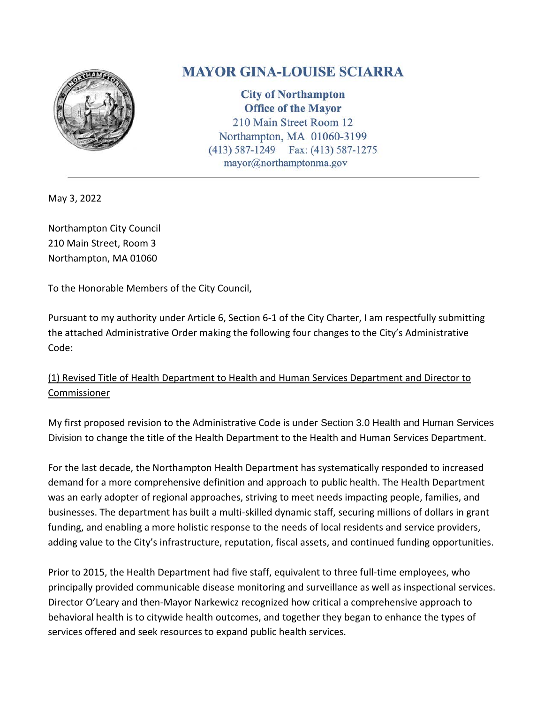

## **MAYOR GINA-LOUISE SCIARRA**

**City of Northampton Office of the Mayor** 210 Main Street Room 12 Northampton, MA 01060-3199 Fax: (413) 587-1275  $(413) 587 - 1249$ mayor@northamptonma.gov

May 3, 2022

Northampton City Council 210 Main Street, Room 3 Northampton, MA 01060

To the Honorable Members of the City Council,

Pursuant to my authority under Article 6, Section 6-1 of the City Charter, I am respectfully submitting the attached Administrative Order making the following four changes to the City's Administrative Code:

## (1) Revised Title of Health Department to Health and Human Services Department and Director to Commissioner

My first proposed revision to the Administrative Code is under Section 3.0 Health and Human Services Division to change the title of the Health Department to the Health and Human Services Department.

For the last decade, the Northampton Health Department has systematically responded to increased demand for a more comprehensive definition and approach to public health. The Health Department was an early adopter of regional approaches, striving to meet needs impacting people, families, and businesses. The department has built a multi-skilled dynamic staff, securing millions of dollars in grant funding, and enabling a more holistic response to the needs of local residents and service providers, adding value to the City's infrastructure, reputation, fiscal assets, and continued funding opportunities.

Prior to 2015, the Health Department had five staff, equivalent to three full-time employees, who principally provided communicable disease monitoring and surveillance as well as inspectional services. Director O'Leary and then-Mayor Narkewicz recognized how critical a comprehensive approach to behavioral health is to citywide health outcomes, and together they began to enhance the types of services offered and seek resources to expand public health services.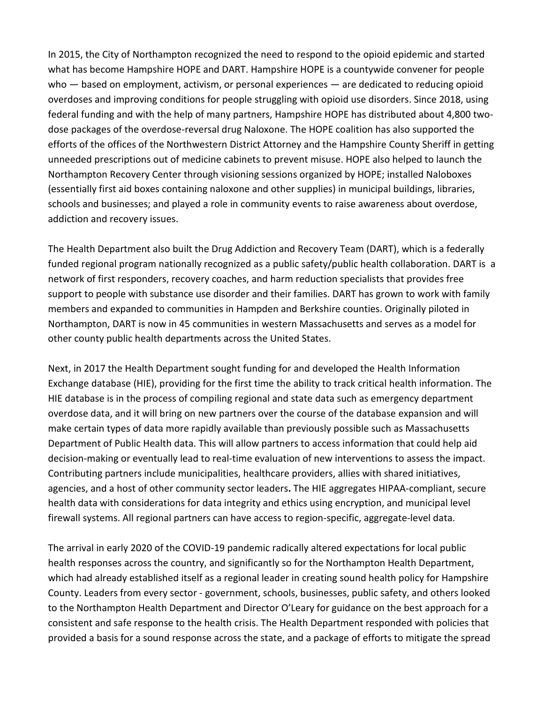In 2015, the City of Northampton recognized the need to respond to the opioid epidemic and started what has become Hampshire HOPE and DART. Hampshire HOPE is a countywide convener for people who — based on employment, activism, or personal experiences — are dedicated to reducing opioid overdoses and improving conditions for people struggling with opioid use disorders. Since 2018, using federal funding and with the help of many partners, Hampshire HOPE has distributed about 4,800 twodose packages of the overdose-reversal drug Naloxone. The HOPE coalition has also supported the efforts of the offices of the Northwestern District Attorney and the Hampshire County Sheriff in getting unneeded prescriptions out of medicine cabinets to prevent misuse. HOPE also helped to launch the Northampton Recovery Center through visioning sessions organized by HOPE; installed Naloboxes (essentially first aid boxes containing naloxone and other supplies) in municipal buildings, libraries, schools and businesses; and played a role in community events to raise awareness about overdose, addiction and recovery issues.

The Health Department also built the Drug Addiction and Recovery Team (DART), which is a federally funded regional program nationally recognized as a public safety/public health collaboration. DART is a network of first responders, recovery coaches, and harm reduction specialists that provides free support to people with substance use disorder and their families. DART has grown to work with family members and expanded to communities in Hampden and Berkshire counties. Originally piloted in Northampton, DART is now in 45 communities in western Massachusetts and serves as a model for other county public health departments across the United States.

Next, in 2017 the Health Department sought funding for and developed the Health Information Exchange database (HIE), providing for the first time the ability to track critical health information. The HIE database is in the process of compiling regional and state data such as emergency department overdose data, and it will bring on new partners over the course of the database expansion and will make certain types of data more rapidly available than previously possible such as Massachusetts Department of Public Health data. This will allow partners to access information that could help aid decision-making or eventually lead to real-time evaluation of new interventions to assess the impact. Contributing partners include municipalities, healthcare providers, allies with shared initiatives, agencies, and a host of other community sector leaders**.** The HIE aggregates HIPAA-compliant, secure health data with considerations for data integrity and ethics using encryption, and municipal level firewall systems. All regional partners can have access to region-specific, aggregate-level data.

The arrival in early 2020 of the COVID-19 pandemic radically altered expectations for local public health responses across the country, and significantly so for the Northampton Health Department, which had already established itself as a regional leader in creating sound health policy for Hampshire County. Leaders from every sector - government, schools, businesses, public safety, and others looked to the Northampton Health Department and Director O'Leary for guidance on the best approach for a consistent and safe response to the health crisis. The Health Department responded with policies that provided a basis for a sound response across the state, and a package of efforts to mitigate the spread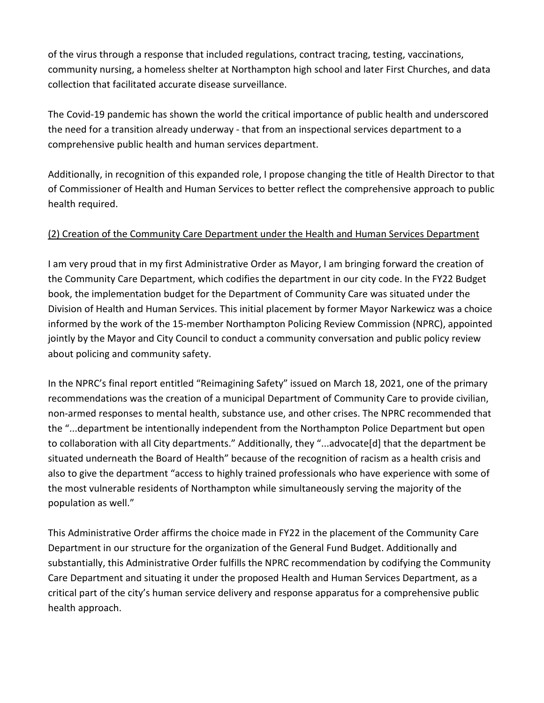of the virus through a response that included regulations, contract tracing, testing, vaccinations, community nursing, a homeless shelter at Northampton high school and later First Churches, and data collection that facilitated accurate disease surveillance.

The Covid-19 pandemic has shown the world the critical importance of public health and underscored the need for a transition already underway - that from an inspectional services department to a comprehensive public health and human services department.

Additionally, in recognition of this expanded role, I propose changing the title of Health Director to that of Commissioner of Health and Human Services to better reflect the comprehensive approach to public health required.

## (2) Creation of the Community Care Department under the Health and Human Services Department

I am very proud that in my first Administrative Order as Mayor, I am bringing forward the creation of the Community Care Department, which codifies the department in our city code. In the FY22 Budget book, the implementation budget for the Department of Community Care was situated under the Division of Health and Human Services. This initial placement by former Mayor Narkewicz was a choice informed by the work of the 15-member Northampton Policing Review Commission (NPRC), appointed jointly by the Mayor and City Council to conduct a community conversation and public policy review about policing and community safety.

In the NPRC's final report entitled "Reimagining Safety" issued on March 18, 2021, one of the primary recommendations was the creation of a municipal Department of Community Care to provide civilian, non-armed responses to mental health, substance use, and other crises. The NPRC recommended that the "...department be intentionally independent from the Northampton Police Department but open to collaboration with all City departments." Additionally, they "...advocate[d] that the department be situated underneath the Board of Health" because of the recognition of racism as a health crisis and also to give the department "access to highly trained professionals who have experience with some of the most vulnerable residents of Northampton while simultaneously serving the majority of the population as well."

This Administrative Order affirms the choice made in FY22 in the placement of the Community Care Department in our structure for the organization of the General Fund Budget. Additionally and substantially, this Administrative Order fulfills the NPRC recommendation by codifying the Community Care Department and situating it under the proposed Health and Human Services Department, as a critical part of the city's human service delivery and response apparatus for a comprehensive public health approach.